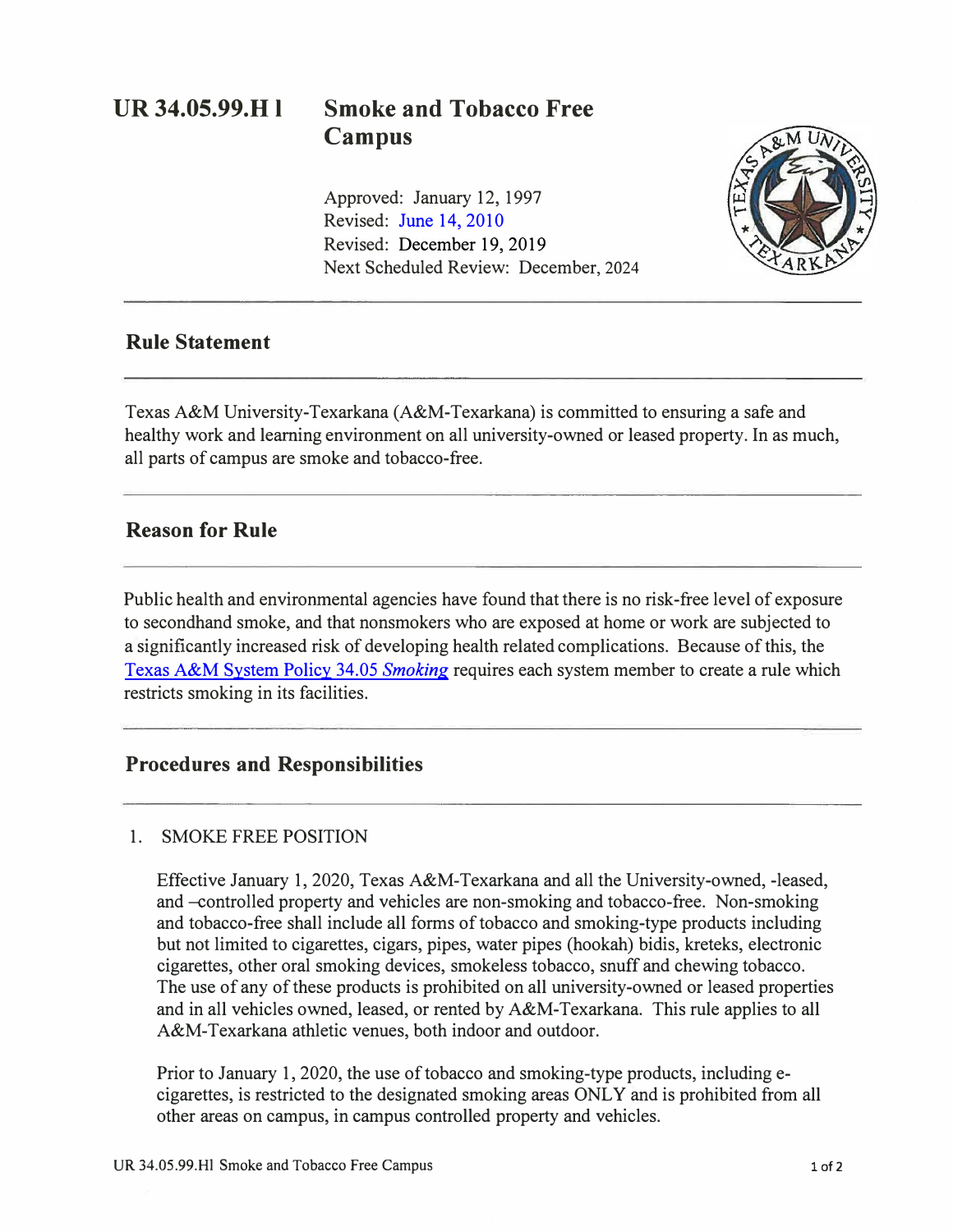# **UR 34.05.99.H I Smoke and Tobacco Free Campus**

Approved: January 12, 1997 Revised: June [14, 2010](https://tamut.edu/About/Administration/About/Rules/Archive_Rules_Procedure/34-05-99-H1_June2010.pdf)  Revised: December 19, 2019 Next Scheduled Review: December, 2024



## **Rule Statement**

Texas A&M University-Texarkana (A&M-Texarkana) is committed to ensuring a safe and healthy work and learning environment on all university-owned or leased property. In as much, all parts of campus are smoke and tobacco-free.

## **Reason for Rule**

Public health and environmental agencies have found that there is no risk-free level of exposure to secondhand smoke, and that nonsmokers who are exposed at home or work are subjected to a significantly increased risk of developing health related complications. Because of this, the [Texas A&M System Policy 34.05](http://policies.tamus.edu/34-05.pdf) *Smoking* requires each system member to create a rule which restricts smoking in its facilities.

## **Procedures and Responsibilities**

### 1. SMOKE FREE POSITION

Effective January 1, 2020, Texas A&M-Texarkana and all the University-owned, -leased, and-controlled property and vehicles are non-smoking and tobacco-free. Non-smoking and tobacco-free shall include all forms of tobacco and smoking-type products including but not limited to cigarettes, cigars, pipes, water pipes (hookah) bidis, kreteks, electronic cigarettes, other oral smoking devices, smokeless tobacco, snuff and chewing tobacco. The use of any of these products is prohibited on all university-owned or leased properties and in all vehicles owned, leased, or rented by A&M-Texarkana. This rule applies to all A&M-Texarkana athletic venues, both indoor and outdoor.

Prior to January 1, 2020, the use of tobacco and smoking-type products, including ecigarettes, is restricted to the designated smoking areas ONLY and is prohibited from all other areas on campus, in campus controlled property and vehicles.